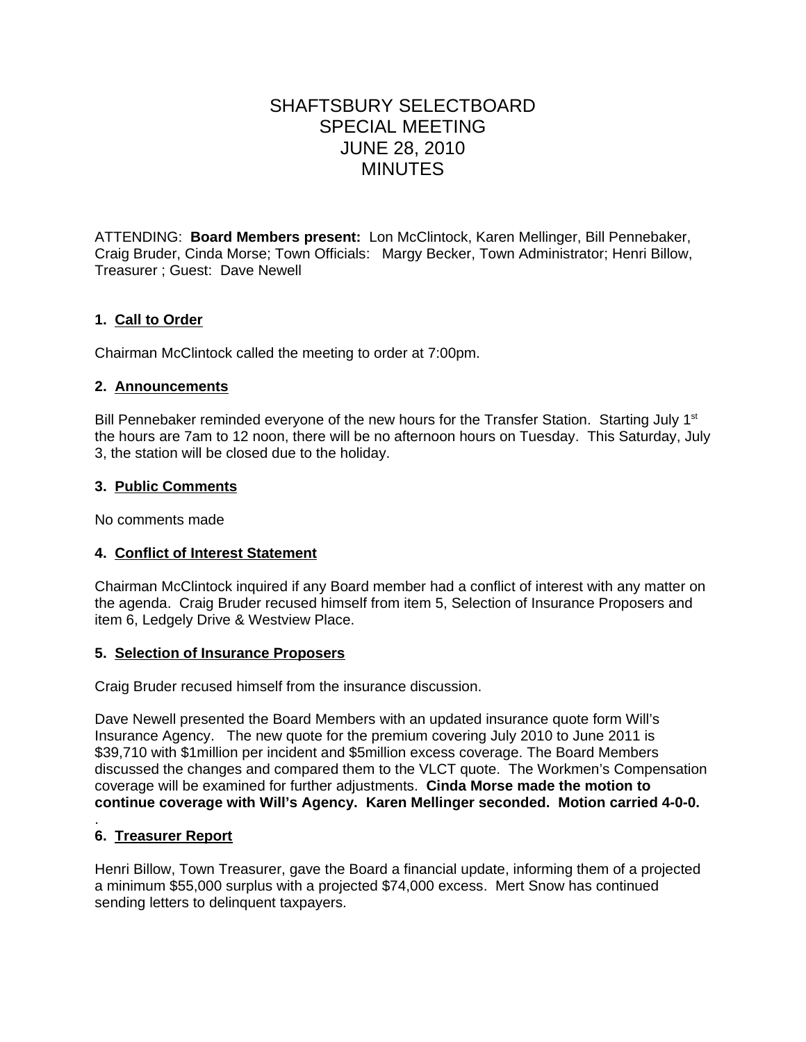# SHAFTSBURY SELECTBOARD SPECIAL MEETING JUNE 28, 2010 MINUTES

ATTENDING: **Board Members present:** Lon McClintock, Karen Mellinger, Bill Pennebaker, Craig Bruder, Cinda Morse; Town Officials: Margy Becker, Town Administrator; Henri Billow, Treasurer ; Guest: Dave Newell

# **1. Call to Order**

Chairman McClintock called the meeting to order at 7:00pm.

## **2. Announcements**

Bill Pennebaker reminded everyone of the new hours for the Transfer Station. Starting July 1<sup>st</sup> the hours are 7am to 12 noon, there will be no afternoon hours on Tuesday. This Saturday, July 3, the station will be closed due to the holiday.

## **3. Public Comments**

No comments made

## **4. Conflict of Interest Statement**

Chairman McClintock inquired if any Board member had a conflict of interest with any matter on the agenda. Craig Bruder recused himself from item 5, Selection of Insurance Proposers and item 6, Ledgely Drive & Westview Place.

### **5. Selection of Insurance Proposers**

Craig Bruder recused himself from the insurance discussion.

Dave Newell presented the Board Members with an updated insurance quote form Will's Insurance Agency. The new quote for the premium covering July 2010 to June 2011 is \$39,710 with \$1million per incident and \$5million excess coverage. The Board Members discussed the changes and compared them to the VLCT quote. The Workmen's Compensation coverage will be examined for further adjustments. **Cinda Morse made the motion to continue coverage with Will's Agency. Karen Mellinger seconded. Motion carried 4-0-0.**

#### . **6. Treasurer Report**

Henri Billow, Town Treasurer, gave the Board a financial update, informing them of a projected a minimum \$55,000 surplus with a projected \$74,000 excess. Mert Snow has continued sending letters to delinquent taxpayers.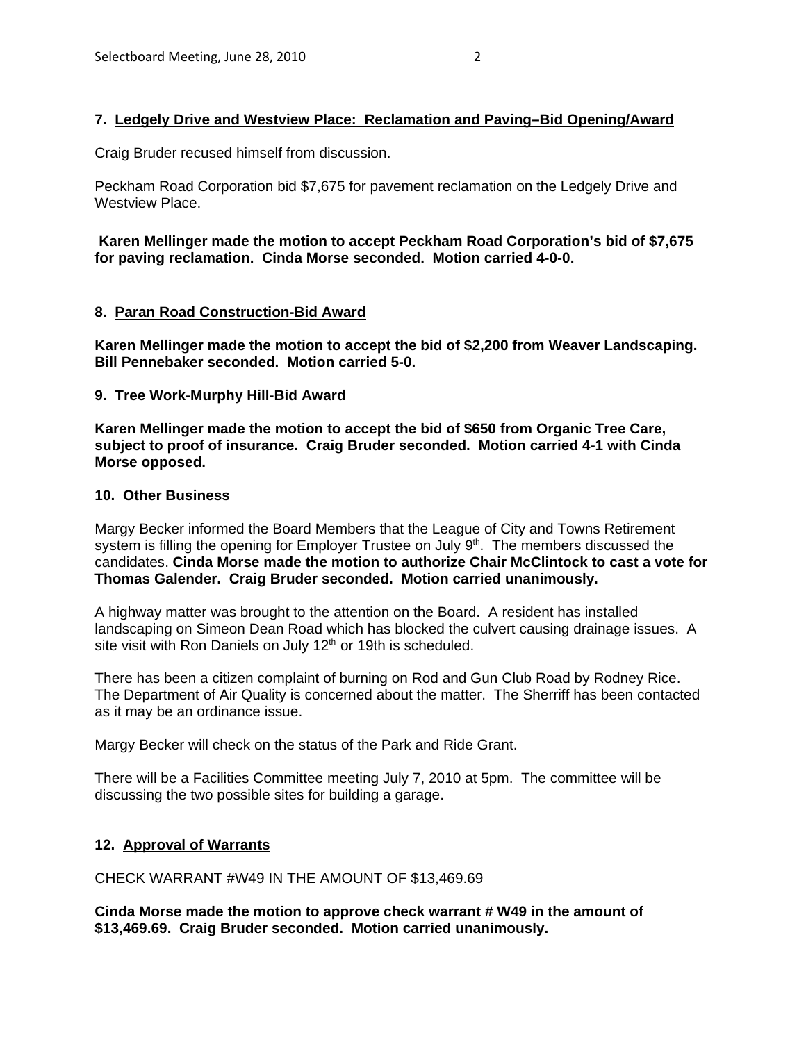## **7. Ledgely Drive and Westview Place: Reclamation and Paving–Bid Opening/Award**

Craig Bruder recused himself from discussion.

Peckham Road Corporation bid \$7,675 for pavement reclamation on the Ledgely Drive and Westview Place.

**Karen Mellinger made the motion to accept Peckham Road Corporation's bid of \$7,675 for paving reclamation. Cinda Morse seconded. Motion carried 4-0-0.**

### **8. Paran Road Construction-Bid Award**

**Karen Mellinger made the motion to accept the bid of \$2,200 from Weaver Landscaping. Bill Pennebaker seconded. Motion carried 5-0.**

### **9. Tree Work-Murphy Hill-Bid Award**

**Karen Mellinger made the motion to accept the bid of \$650 from Organic Tree Care, subject to proof of insurance. Craig Bruder seconded. Motion carried 4-1 with Cinda Morse opposed.**

### **10. Other Business**

Margy Becker informed the Board Members that the League of City and Towns Retirement system is filling the opening for Employer Trustee on July 9<sup>th</sup>. The members discussed the candidates. **Cinda Morse made the motion to authorize Chair McClintock to cast a vote for Thomas Galender. Craig Bruder seconded. Motion carried unanimously.** 

A highway matter was brought to the attention on the Board. A resident has installed landscaping on Simeon Dean Road which has blocked the culvert causing drainage issues. A site visit with Ron Daniels on July 12<sup>th</sup> or 19th is scheduled.

There has been a citizen complaint of burning on Rod and Gun Club Road by Rodney Rice. The Department of Air Quality is concerned about the matter. The Sherriff has been contacted as it may be an ordinance issue.

Margy Becker will check on the status of the Park and Ride Grant.

There will be a Facilities Committee meeting July 7, 2010 at 5pm. The committee will be discussing the two possible sites for building a garage.

## **12. Approval of Warrants**

CHECK WARRANT #W49 IN THE AMOUNT OF \$13,469.69

**Cinda Morse made the motion to approve check warrant # W49 in the amount of \$13,469.69. Craig Bruder seconded. Motion carried unanimously.**